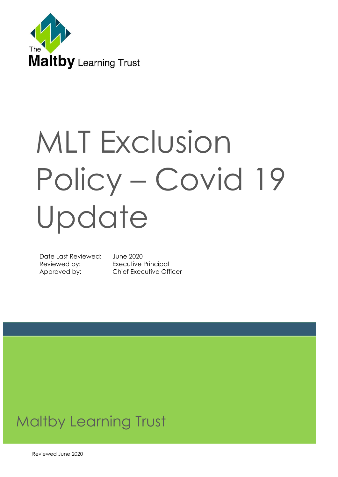

# MLT Exclusion Policy – Covid 19 Update

Date Last Reviewed: June 2020 Reviewed by: Executive Principal

Approved by: Chief Executive Officer

# Maltby Learning Trust

Reviewed June 2020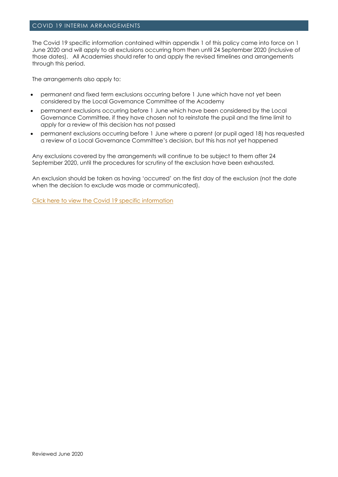#### COVID 19 INTERIM ARRANGEMENTS

The Covid 19 specific information contained within appendix 1 of this policy came into force on 1 June 2020 and will apply to all exclusions occurring from then until 24 September 2020 (inclusive of those dates). All Academies should refer to and apply the revised timelines and arrangements through this period.

The arrangements also apply to:

- permanent and fixed term exclusions occurring before 1 June which have not yet been considered by the Local Governance Committee of the Academy
- permanent exclusions occurring before 1 June which have been considered by the Local Governance Committee, if they have chosen not to reinstate the pupil and the time limit to apply for a review of this decision has not passed
- permanent exclusions occurring before 1 June where a parent (or pupil aged 18) has requested a review of a Local Governance Committee's decision, but this has not yet happened

Any exclusions covered by the arrangements will continue to be subject to them after 24 September 2020, until the procedures for scrutiny of the exclusion have been exhausted.

An exclusion should be taken as having 'occurred' on the first day of the exclusion (not the date when the decision to exclude was made or communicated).

[Click here to view the Covid 19 specific information](#page-16-0)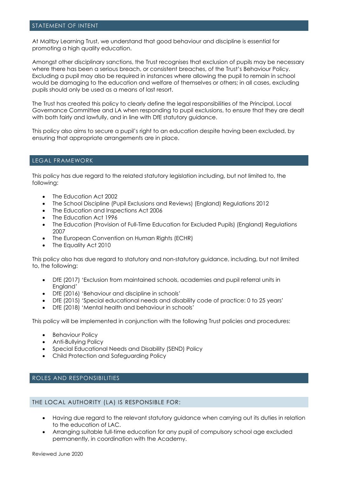#### STATEMENT OF INTENT

At Maltby Learning Trust, we understand that good behaviour and discipline is essential for promoting a high quality education.

Amongst other disciplinary sanctions, the Trust recognises that exclusion of pupils may be necessary where there has been a serious breach, or consistent breaches, of the Trust's Behaviour Policy. Excluding a pupil may also be required in instances where allowing the pupil to remain in school would be damaging to the education and welfare of themselves or others; in all cases, excluding pupils should only be used as a means of last resort.

The Trust has created this policy to clearly define the legal responsibilities of the Principal, Local Governance Committee and LA when responding to pupil exclusions, to ensure that they are dealt with both fairly and lawfully, and in line with DfE statutory auidance.

This policy also aims to secure a pupil's right to an education despite having been excluded, by ensuring that appropriate arrangements are in place.

#### LEGAL FRAMEWORK

This policy has due regard to the related statutory legislation including, but not limited to, the following:

- The Education Act 2002
- The School Discipline (Pupil Exclusions and Reviews) (England) Regulations 2012
- The Education and Inspections Act 2006
- The Education Act 1996
- The Education (Provision of Full-Time Education for Excluded Pupils) (England) Regulations 2007
- The European Convention on Human Rights (ECHR)
- The Equality Act 2010

This policy also has due regard to statutory and non-statutory guidance, including, but not limited to, the following:

- DfE (2017) 'Exclusion from maintained schools, academies and pupil referral units in England'
- DfE (2016) 'Behaviour and discipline in schools'
- DfE (2015) 'Special educational needs and disability code of practice: 0 to 25 years'
- DfE (2018) 'Mental health and behaviour in schools'

This policy will be implemented in conjunction with the following Trust policies and procedures:

- Behaviour Policy
- Anti-Bullying Policy
- Special Educational Needs and Disability (SEND) Policy
- Child Protection and Safeguarding Policy

#### ROLES AND RESPONSIBILITIES

#### THE LOCAL AUTHORITY (LA) IS RESPONSIBLE FOR:

- Having due regard to the relevant statutory guidance when carrying out its duties in relation to the education of LAC.
- Arranging suitable full-time education for any pupil of compulsory school age excluded permanently, in coordination with the Academy.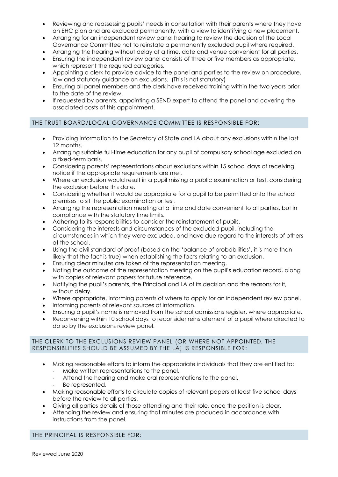- Reviewing and reassessing pupils' needs in consultation with their parents where they have an EHC plan and are excluded permanently, with a view to identifying a new placement.
- Arranging for an independent review panel hearing to review the decision of the Local Governance Committee not to reinstate a permanently excluded pupil where required.
- Arranging the hearing without delay at a time, date and venue convenient for all parties.
- Ensuring the independent review panel consists of three or five members as appropriate, which represent the required categories.
- Appointing a clerk to provide advice to the panel and parties to the review on procedure, law and statutory guidance on exclusions. (This is not statutory)
- Ensuring all panel members and the clerk have received training within the two years prior to the date of the review.
- If requested by parents, appointing a SEND expert to attend the panel and covering the associated costs of this appointment.

# THE TRUST BOARD/LOCAL GOVERNANCE COMMITTEE IS RESPONSIBLE FOR:

- Providing information to the Secretary of State and LA about any exclusions within the last 12 months.
- Arranging suitable full-time education for any pupil of compulsory school age excluded on a fixed-term basis.
- Considering parents' representations about exclusions within 15 school days of receiving notice if the appropriate requirements are met.
- Where an exclusion would result in a pupil missing a public examination or test, considering the exclusion before this date.
- Considering whether it would be appropriate for a pupil to be permitted onto the school premises to sit the public examination or test.
- Arranging the representation meeting at a time and date convenient to all parties, but in compliance with the statutory time limits.
- Adhering to its responsibilities to consider the reinstatement of pupils.
- Considering the interests and circumstances of the excluded pupil, including the circumstances in which they were excluded, and have due regard to the interests of others at the school.
- Using the civil standard of proof (based on the 'balance of probabilities', it is more than likely that the fact is true) when establishing the facts relating to an exclusion.
- Ensuring clear minutes are taken of the representation meeting.
- Noting the outcome of the representation meeting on the pupil's education record, along with copies of relevant papers for future reference.
- Notifying the pupil's parents, the Principal and LA of its decision and the reasons for it, without delay.
- Where appropriate, informing parents of where to apply for an independent review panel.
- Informing parents of relevant sources of information.
- Ensuring a pupil's name is removed from the school admissions register, where appropriate.
- Reconvening within 10 school days to reconsider reinstatement of a pupil where directed to do so by the exclusions review panel.

#### THE CLERK TO THE EXCLUSIONS REVIEW PANEL (OR WHERE NOT APPOINTED, THE RESPONSIBLITIES SHOULD BE ASSUMED BY THE LA) IS RESPONSIBLE FOR:

- Making reasonable efforts to inform the appropriate individuals that they are entitled to:
	- Make written representations to the panel.
	- Attend the hearing and make oral representations to the panel.
	- Be represented.
- Making reasonable efforts to circulate copies of relevant papers at least five school days before the review to all parties.
- Giving all parties details of those attending and their role, once the position is clear.
- Attending the review and ensuring that minutes are produced in accordance with instructions from the panel.

#### THE PRINCIPAL IS RESPONSIBLE FOR: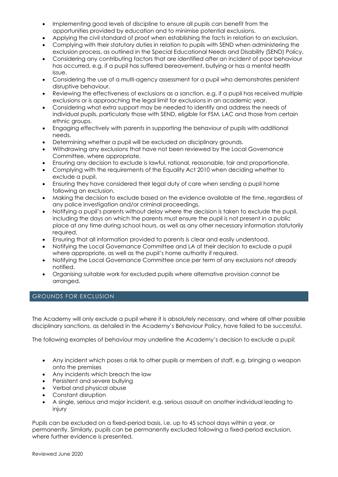- Implementing good levels of discipline to ensure all pupils can benefit from the opportunities provided by education and to minimise potential exclusions.
- Applying the civil standard of proof when establishing the facts in relation to an exclusion.
- Complying with their statutory duties in relation to pupils with SEND when administering the exclusion process, as outlined in the Special Educational Needs and Disability (SEND) Policy.
- Considering any contributing factors that are identified after an incident of poor behaviour has occurred, e.g. if a pupil has suffered bereavement, bullying or has a mental health issue.
- Considering the use of a multi-agency assessment for a pupil who demonstrates persistent disruptive behaviour.
- Reviewing the effectiveness of exclusions as a sanction, e.g. if a pupil has received multiple exclusions or is approaching the legal limit for exclusions in an academic year.
- Considering what extra support may be needed to identify and address the needs of individual pupils, particularly those with SEND, eligible for FSM, LAC and those from certain ethnic groups.
- Engaging effectively with parents in supporting the behaviour of pupils with additional needs.
- Determining whether a pupil will be excluded on disciplinary grounds.
- Withdrawing any exclusions that have not been reviewed by the Local Governance Committee, where appropriate.
- Ensuring any decision to exclude is lawful, rational, reasonable, fair and proportionate.
- Complying with the requirements of the Equality Act 2010 when deciding whether to exclude a pupil.
- Ensuring they have considered their legal duty of care when sending a pupil home following an exclusion.
- Making the decision to exclude based on the evidence available at the time, regardless of any police investigation and/or criminal proceedings.
- Notifying a pupil's parents without delay where the decision is taken to exclude the pupil, including the days on which the parents must ensure the pupil is not present in a public place at any time during school hours, as well as any other necessary information statutorily required.
- Ensuring that all information provided to parents is clear and easily understood.
- Notifying the Local Governance Committee and LA of their decision to exclude a pupil where appropriate, as well as the pupil's home authority if required.
- Notifying the Local Governance Committee once per term of any exclusions not already notified.
- Organising suitable work for excluded pupils where alternative provision cannot be arranged.

# GROUNDS FOR EXCLUSION

The Academy will only exclude a pupil where it is absolutely necessary, and where all other possible disciplinary sanctions, as detailed in the Academy's Behaviour Policy, have failed to be successful.

The following examples of behaviour may underline the Academy's decision to exclude a pupil:

- Any incident which poses a risk to other pupils or members of staff, e.g. bringing a weapon onto the premises
- Any incidents which breach the law
- Persistent and severe bullying
- Verbal and physical abuse
- Constant disruption
- A single, serious and major incident, e.g. serious assault on another individual leading to injury

Pupils can be excluded on a fixed-period basis, i.e. up to 45 school days within a year, or permanently. Similarly, pupils can be permanently excluded following a fixed-period exclusion, where further evidence is presented.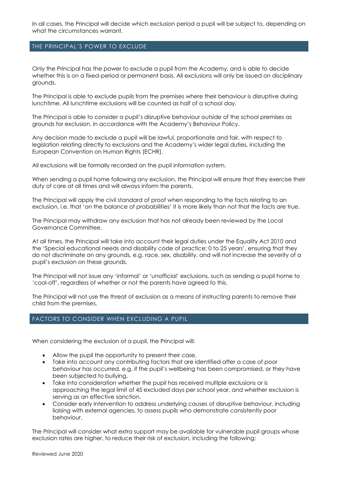In all cases, the Principal will decide which exclusion period a pupil will be subject to, depending on what the circumstances warrant.

#### THE PRINCIPAL'S POWER TO EXCLUDE

Only the Principal has the power to exclude a pupil from the Academy, and is able to decide whether this is on a fixed-period or permanent basis. All exclusions will only be issued on disciplinary grounds.

The Principal is able to exclude pupils from the premises where their behaviour is disruptive during lunchtime. All lunchtime exclusions will be counted as half of a school day.

The Principal is able to consider a pupil's disruptive behaviour outside of the school premises as grounds for exclusion, in accordance with the Academy's Behaviour Policy.

Any decision made to exclude a pupil will be lawful, proportionate and fair, with respect to legislation relating directly to exclusions and the Academy's wider legal duties, including the European Convention on Human Rights (ECHR).

All exclusions will be formally recorded on the pupil information system.

When sending a pupil home following any exclusion, the Principal will ensure that they exercise their duty of care at all times and will always inform the parents.

The Principal will apply the civil standard of proof when responding to the facts relating to an exclusion, i.e. that 'on the balance of probabilities' it is more likely than not that the facts are true.

The Principal may withdraw any exclusion that has not already been reviewed by the Local Governance Committee.

At all times, the Principal will take into account their legal duties under the Equality Act 2010 and the 'Special educational needs and disability code of practice: 0 to 25 years', ensuring that they do not discriminate on any grounds, e.g. race, sex, disability, and will not increase the severity of a pupil's exclusion on these grounds.

The Principal will not issue any 'informal' or 'unofficial' exclusions, such as sending a pupil home to 'cool-off', regardless of whether or not the parents have agreed to this.

The Principal will not use the threat of exclusion as a means of instructing parents to remove their child from the premises.

# FACTORS TO CONSIDER WHEN EXCLUDING A PUPIL

When considering the exclusion of a pupil, the Principal will:

- Allow the pupil the opportunity to present their case.
- Take into account any contributing factors that are identified after a case of poor behaviour has occurred, e.g. if the pupil's wellbeing has been compromised, or they have been subjected to bullying.
- Take into consideration whether the pupil has received multiple exclusions or is approaching the legal limit of 45 excluded days per school year, and whether exclusion is serving as an effective sanction.
- Consider early intervention to address underlying causes of disruptive behaviour, including liaising with external agencies, to assess pupils who demonstrate consistently poor behaviour.

The Principal will consider what extra support may be available for vulnerable pupil groups whose exclusion rates are higher, to reduce their risk of exclusion, including the following: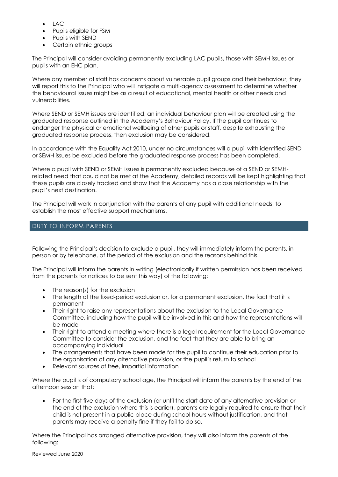- LAC
- Pupils eligible for FSM
- Pupils with SEND
- Certain ethnic groups

The Principal will consider avoiding permanently excluding LAC pupils, those with SEMH issues or pupils with an EHC plan.

Where any member of staff has concerns about vulnerable pupil groups and their behaviour, they will report this to the Principal who will instigate a multi-agency assessment to determine whether the behavioural issues might be as a result of educational, mental health or other needs and vulnerabilities.

Where SEND or SEMH issues are identified, an individual behaviour plan will be created using the graduated response outlined in the Academy's Behaviour Policy. If the pupil continues to endanger the physical or emotional wellbeing of other pupils or staff, despite exhausting the graduated response process, then exclusion may be considered.

In accordance with the Equality Act 2010, under no circumstances will a pupil with identified SEND or SEMH issues be excluded before the graduated response process has been completed.

Where a pupil with SEND or SEMH issues is permanently excluded because of a SEND or SEMHrelated need that could not be met at the Academy, detailed records will be kept highlighting that these pupils are closely tracked and show that the Academy has a close relationship with the pupil's next destination.

The Principal will work in conjunction with the parents of any pupil with additional needs, to establish the most effective support mechanisms.

# DUTY TO INFORM PARENTS

Following the Principal's decision to exclude a pupil, they will immediately inform the parents, in person or by telephone, of the period of the exclusion and the reasons behind this.

The Principal will inform the parents in writing (electronically if written permission has been received from the parents for notices to be sent this way) of the following:

- The reason(s) for the exclusion
- The length of the fixed-period exclusion or, for a permanent exclusion, the fact that it is permanent
- Their right to raise any representations about the exclusion to the Local Governance Committee, including how the pupil will be involved in this and how the representations will be made
- Their right to attend a meeting where there is a legal requirement for the Local Governance Committee to consider the exclusion, and the fact that they are able to bring an accompanying individual
- The arrangements that have been made for the pupil to continue their education prior to the organisation of any alternative provision, or the pupil's return to school
- Relevant sources of free, impartial information

Where the pupil is of compulsory school age, the Principal will inform the parents by the end of the afternoon session that:

 For the first five days of the exclusion (or until the start date of any alternative provision or the end of the exclusion where this is earlier), parents are legally required to ensure that their child is not present in a public place during school hours without justification, and that parents may receive a penalty fine if they fail to do so.

Where the Principal has arranged alternative provision, they will also inform the parents of the following: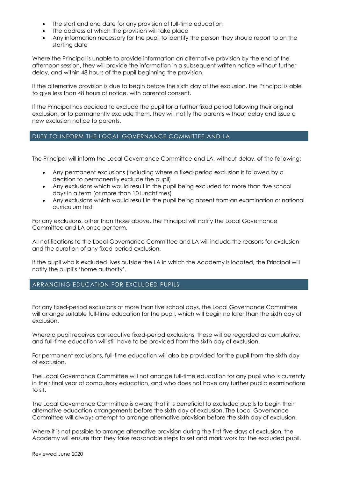- The start and end date for any provision of full-time education
- The address at which the provision will take place
- Any information necessary for the pupil to identify the person they should report to on the starting date

Where the Principal is unable to provide information on alternative provision by the end of the afternoon session, they will provide the information in a subsequent written notice without further delay, and within 48 hours of the pupil beginning the provision.

If the alternative provision is due to begin before the sixth day of the exclusion, the Principal is able to give less than 48 hours of notice, with parental consent.

If the Principal has decided to exclude the pupil for a further fixed period following their original exclusion, or to permanently exclude them, they will notify the parents without delay and issue a new exclusion notice to parents.

# DUTY TO INFORM THE LOCAL GOVERNANCE COMMITTEE AND LA

The Principal will inform the Local Governance Committee and LA, without delay, of the following:

- Any permanent exclusions (including where a fixed-period exclusion is followed by a decision to permanently exclude the pupil)
- Any exclusions which would result in the pupil being excluded for more than five school days in a term (or more than 10 lunchtimes)
- Any exclusions which would result in the pupil being absent from an examination or national curriculum test

For any exclusions, other than those above, the Principal will notify the Local Governance Committee and LA once per term.

All notifications to the Local Governance Committee and LA will include the reasons for exclusion and the duration of any fixed-period exclusion.

If the pupil who is excluded lives outside the LA in which the Academy is located, the Principal will notify the pupil's 'home authority'.

# ARRANGING EDUCATION FOR EXCLUDED PUPILS

For any fixed-period exclusions of more than five school days, the Local Governance Committee will arrange suitable full-time education for the pupil, which will begin no later than the sixth day of exclusion.

Where a pupil receives consecutive fixed-period exclusions, these will be regarded as cumulative, and full-time education will still have to be provided from the sixth day of exclusion.

For permanent exclusions, full-time education will also be provided for the pupil from the sixth day of exclusion.

The Local Governance Committee will not arrange full-time education for any pupil who is currently in their final year of compulsory education, and who does not have any further public examinations to sit.

The Local Governance Committee is aware that it is beneficial to excluded pupils to begin their alternative education arrangements before the sixth day of exclusion. The Local Governance Committee will always attempt to arrange alternative provision before the sixth day of exclusion.

Where it is not possible to arrange alternative provision during the first five days of exclusion, the Academy will ensure that they take reasonable steps to set and mark work for the excluded pupil.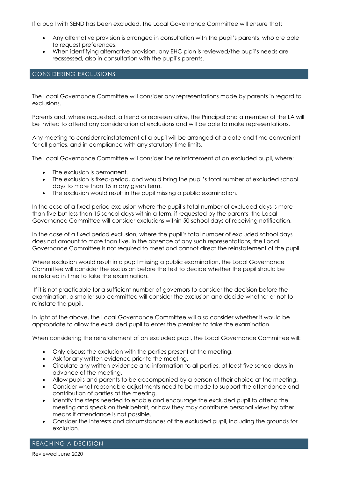If a pupil with SEND has been excluded, the Local Governance Committee will ensure that:

- Any alternative provision is arranged in consultation with the pupil's parents, who are able to request preferences.
- When identifying alternative provision, any EHC plan is reviewed/the pupil's needs are reassessed, also in consultation with the pupil's parents.

# CONSIDERING EXCLUSIONS

The Local Governance Committee will consider any representations made by parents in regard to exclusions.

Parents and, where requested, a friend or representative, the Principal and a member of the LA will be invited to attend any consideration of exclusions and will be able to make representations.

Any meeting to consider reinstatement of a pupil will be arranged at a date and time convenient for all parties, and in compliance with any statutory time limits.

The Local Governance Committee will consider the reinstatement of an excluded pupil, where:

- The exclusion is permanent.
- The exclusion is fixed-period, and would bring the pupil's total number of excluded school days to more than 15 in any given term.
- The exclusion would result in the pupil missing a public examination.

In the case of a fixed-period exclusion where the pupil's total number of excluded days is more than five but less than 15 school days within a term, if requested by the parents, the Local Governance Committee will consider exclusions within 50 school days of receiving notification.

In the case of a fixed period exclusion, where the pupil's total number of excluded school days does not amount to more than five, in the absence of any such representations, the Local Governance Committee is not required to meet and cannot direct the reinstatement of the pupil.

Where exclusion would result in a pupil missing a public examination, the Local Governance Committee will consider the exclusion before the test to decide whether the pupil should be reinstated in time to take the examination.

If it is not practicable for a sufficient number of governors to consider the decision before the examination, a smaller sub-committee will consider the exclusion and decide whether or not to reinstate the pupil.

In light of the above, the Local Governance Committee will also consider whether it would be appropriate to allow the excluded pupil to enter the premises to take the examination.

When considering the reinstatement of an excluded pupil, the Local Governance Committee will:

- Only discuss the exclusion with the parties present at the meeting.
- Ask for any written evidence prior to the meeting.
- Circulate any written evidence and information to all parties, at least five school days in advance of the meeting.
- Allow pupils and parents to be accompanied by a person of their choice at the meeting.
- Consider what reasonable adjustments need to be made to support the attendance and contribution of parties at the meeting.
- Identify the steps needed to enable and encourage the excluded pupil to attend the meeting and speak on their behalf, or how they may contribute personal views by other means if attendance is not possible.
- Consider the interests and circumstances of the excluded pupil, including the grounds for exclusion.

REACHING A DECISION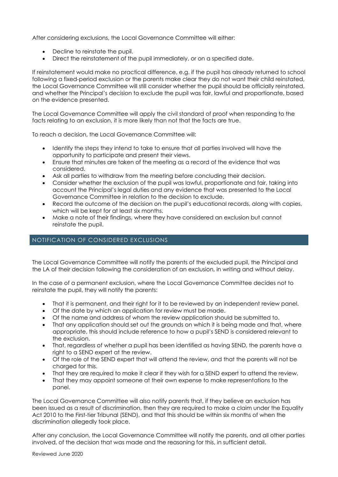After considering exclusions, the Local Governance Committee will either:

- Decline to reinstate the pupil.
- Direct the reinstatement of the pupil immediately, or on a specified date.

If reinstatement would make no practical difference, e.g. if the pupil has already returned to school following a fixed-period exclusion or the parents make clear they do not want their child reinstated, the Local Governance Committee will still consider whether the pupil should be officially reinstated, and whether the Principal's decision to exclude the pupil was fair, lawful and proportionate, based on the evidence presented.

The Local Governance Committee will apply the civil standard of proof when responding to the facts relating to an exclusion, it is more likely than not that the facts are true.

To reach a decision, the Local Governance Committee will:

- Identify the steps they intend to take to ensure that all parties involved will have the opportunity to participate and present their views.
- Ensure that minutes are taken of the meeting as a record of the evidence that was considered.
- Ask all parties to withdraw from the meeting before concluding their decision.
- Consider whether the exclusion of the pupil was lawful, proportionate and fair, taking into account the Principal's legal duties and any evidence that was presented to the Local Governance Committee in relation to the decision to exclude.
- Record the outcome of the decision on the pupil's educational records, along with copies, which will be kept for at least six months.
- Make a note of their findings, where they have considered an exclusion but cannot reinstate the pupil.

#### NOTIFICATION OF CONSIDERED EXCLUSIONS

The Local Governance Committee will notify the parents of the excluded pupil, the Principal and the LA of their decision following the consideration of an exclusion, in writing and without delay.

In the case of a permanent exclusion, where the Local Governance Committee decides not to reinstate the pupil, they will notify the parents:

- That it is permanent, and their right for it to be reviewed by an independent review panel.
- Of the date by which an application for review must be made.
- Of the name and address of whom the review application should be submitted to.
- That any application should set out the grounds on which it is being made and that, where appropriate, this should include reference to how a pupil's SEND is considered relevant to the exclusion.
- That, regardless of whether a pupil has been identified as having SEND, the parents have a right to a SEND expert at the review.
- Of the role of the SEND expert that will attend the review, and that the parents will not be charged for this.
- That they are required to make it clear if they wish for a SEND expert to attend the review.
- That they may appoint someone at their own expense to make representations to the panel.

The Local Governance Committee will also notify parents that, if they believe an exclusion has been issued as a result of discrimination, then they are required to make a claim under the Equality Act 2010 to the First-tier Tribunal (SEND), and that this should be within six months of when the discrimination allegedly took place.

After any conclusion, the Local Governance Committee will notify the parents, and all other parties involved, of the decision that was made and the reasoning for this, in sufficient detail.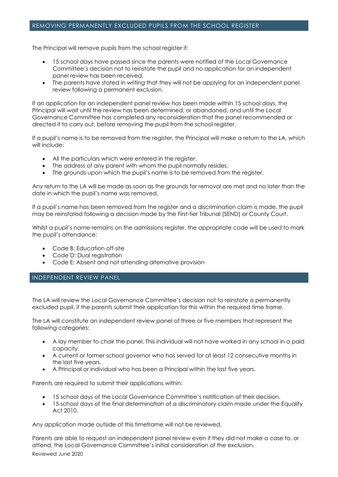#### REMOVING PERMANENTLY EXCLUDED PUPILS FROM THE SCHOOL REGISTER

The Principal will remove pupils from the school register if:

- 15 school days have passed since the parents were notified of the Local Governance Committee's decision not to reinstate the pupil and no application for an independent panel review has been received.
- The parents have stated in writing that they will not be applying for an independent panel review following a permanent exclusion.

If an application for an independent panel review has been made within 15 school days, the Principal will wait until the review has been determined, or abandoned, and until the Local Governance Committee has completed any reconsideration that the panel recommended or directed it to carry out, before removing the pupil from the school register.

If a pupil's name is to be removed from the register, the Principal will make a return to the LA, which will include:

- All the particulars which were entered in the register.
- The address of any parent with whom the pupil normally resides.
- The grounds upon which the pupil's name is to be removed from the register.

Any return to the LA will be made as soon as the grounds for removal are met and no later than the date in which the pupil's name was removed.

If a pupil's name has been removed from the register and a discrimination claim is made, the pupil may be reinstated following a decision made by the First-tier Tribunal (SEND) or County Court.

Whilst a pupil's name remains on the admissions register, the appropriate code will be used to mark the pupil's attendance:

- Code B: Education off-site
- Code D: Dual registration
- Code E: Absent and not attending alternative provision

# INDEPENDENT REVIEW PANEL

The LA will review the Local Governance Committee's decision not to reinstate a permanently excluded pupil, if the parents submit their application for this within the required time frame.

The LA will constitute an independent review panel of three or five members that represent the following categories:

- A lay member to chair the panel. This individual will not have worked in any school in a paid capacity.
- A current or former school governor who has served for at least 12 consecutive months in the last five years.
- A Principal or individual who has been a Principal within the last five years.

Parents are required to submit their applications within:

- 15 school days of the Local Governance Committee's notification of their decision.
- 15 school days of the final determination of a discriminatory claim made under the Equality Act 2010.

Any application made outside of this timeframe will not be reviewed.

Reviewed June 2020 Parents are able to request an independent panel review even if they did not make a case to, or attend, the Local Governance Committee's initial consideration of the exclusion.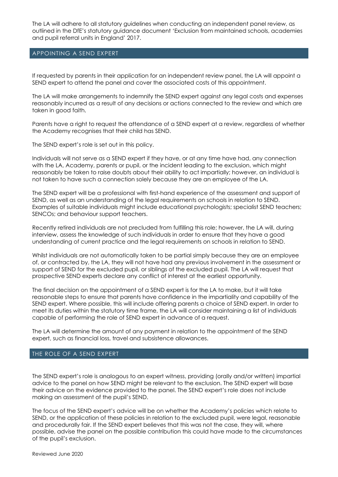The LA will adhere to all statutory guidelines when conducting an independent panel review, as outlined in the DfE's statutory guidance document 'Exclusion from maintained schools, academies and pupil referral units in England' 2017.

#### APPOINTING A SEND EXPERT

If requested by parents in their application for an independent review panel, the LA will appoint a SEND expert to attend the panel and cover the associated costs of this appointment.

The LA will make arrangements to indemnify the SEND expert against any legal costs and expenses reasonably incurred as a result of any decisions or actions connected to the review and which are taken in good faith.

Parents have a right to request the attendance of a SEND expert at a review, regardless of whether the Academy recognises that their child has SEND.

The SEND expert's role is set out in this policy.

Individuals will not serve as a SEND expert if they have, or at any time have had, any connection with the LA, Academy, parents or pupil, or the incident leading to the exclusion, which might reasonably be taken to raise doubts about their ability to act impartially; however, an individual is not taken to have such a connection solely because they are an employee of the LA.

The SEND expert will be a professional with first-hand experience of the assessment and support of SEND, as well as an understanding of the legal requirements on schools in relation to SEND. Examples of suitable individuals might include educational psychologists; specialist SEND teachers; SENCOs; and behaviour support teachers.

Recently retired individuals are not precluded from fulfilling this role; however, the LA will, during interview, assess the knowledge of such individuals in order to ensure that they have a good understanding of current practice and the legal requirements on schools in relation to SEND.

Whilst individuals are not automatically taken to be partial simply because they are an employee of, or contracted by, the LA, they will not have had any previous involvement in the assessment or support of SEND for the excluded pupil, or siblings of the excluded pupil. The LA will request that prospective SEND experts declare any conflict of interest at the earliest opportunity.

The final decision on the appointment of a SEND expert is for the LA to make, but it will take reasonable steps to ensure that parents have confidence in the impartiality and capability of the SEND expert. Where possible, this will include offering parents a choice of SEND expert. In order to meet its duties within the statutory time frame, the LA will consider maintaining a list of individuals capable of performing the role of SEND expert in advance of a request.

The LA will determine the amount of any payment in relation to the appointment of the SEND expert, such as financial loss, travel and subsistence allowances.

# THE ROLE OF A SEND EXPERT

The SEND expert's role is analogous to an expert witness, providing (orally and/or written) impartial advice to the panel on how SEND might be relevant to the exclusion. The SEND expert will base their advice on the evidence provided to the panel. The SEND expert's role does not include making an assessment of the pupil's SEND.

The focus of the SEND expert's advice will be on whether the Academy's policies which relate to SEND, or the application of these policies in relation to the excluded pupil, were legal, reasonable and procedurally fair. If the SEND expert believes that this was not the case, they will, where possible, advise the panel on the possible contribution this could have made to the circumstances of the pupil's exclusion.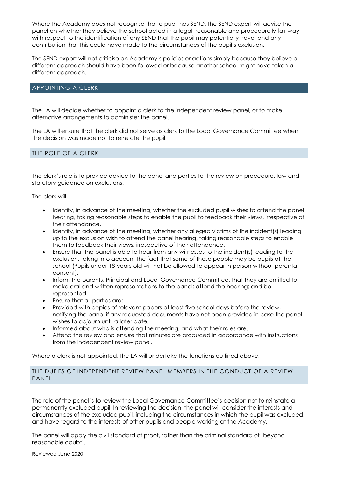Where the Academy does not recognise that a pupil has SEND, the SEND expert will advise the panel on whether they believe the school acted in a legal, reasonable and procedurally fair way with respect to the identification of any SEND that the pupil may potentially have, and any contribution that this could have made to the circumstances of the pupil's exclusion.

The SEND expert will not criticise an Academy's policies or actions simply because they believe a different approach should have been followed or because another school might have taken a different approach.

#### APPOINTING A CLERK

The LA will decide whether to appoint a clerk to the independent review panel, or to make alternative arrangements to administer the panel.

The LA will ensure that the clerk did not serve as clerk to the Local Governance Committee when the decision was made not to reinstate the pupil.

#### THE ROLE OF A CLERK

The clerk's role is to provide advice to the panel and parties to the review on procedure, law and statutory guidance on exclusions.

The clerk will:

- Identify, in advance of the meeting, whether the excluded pupil wishes to attend the panel hearing, taking reasonable steps to enable the pupil to feedback their views, irrespective of their attendance.
- Identify, in advance of the meeting, whether any alleged victims of the incident(s) leading up to the exclusion wish to attend the panel hearing, taking reasonable steps to enable them to feedback their views, irrespective of their attendance.
- Ensure that the panel is able to hear from any witnesses to the incident(s) leading to the exclusion, taking into account the fact that some of these people may be pupils at the school (Pupils under 18-years-old will not be allowed to appear in person without parental consent).
- Inform the parents, Principal and Local Governance Committee, that they are entitled to: make oral and written representations to the panel; attend the hearing; and be represented.
- Ensure that all parties are:
- Provided with copies of relevant papers at least five school days before the review, notifying the panel if any requested documents have not been provided in case the panel wishes to adjourn until a later date.
- Informed about who is attending the meeting, and what their roles are.
- Attend the review and ensure that minutes are produced in accordance with instructions from the independent review panel.

Where a clerk is not appointed, the LA will undertake the functions outlined above.

#### THE DUTIES OF INDEPENDENT REVIEW PANEL MEMBERS IN THE CONDUCT OF A REVIEW PANEL

The role of the panel is to review the Local Governance Committee's decision not to reinstate a permanently excluded pupil. In reviewing the decision, the panel will consider the interests and circumstances of the excluded pupil, including the circumstances in which the pupil was excluded, and have regard to the interests of other pupils and people working at the Academy.

The panel will apply the civil standard of proof, rather than the criminal standard of 'beyond reasonable doubt'.

Reviewed June 2020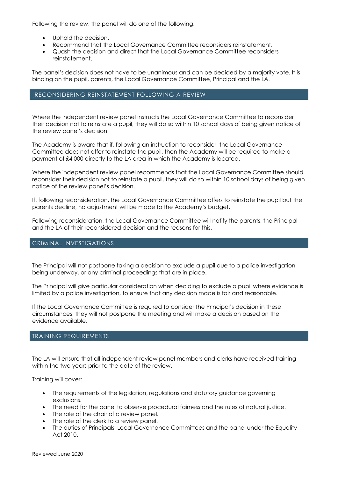Following the review, the panel will do one of the following:

- Uphold the decision.
- Recommend that the Local Governance Committee reconsiders reinstatement.
- Quash the decision and direct that the Local Governance Committee reconsiders reinstatement.

The panel's decision does not have to be unanimous and can be decided by a majority vote. It is binding on the pupil, parents, the Local Governance Committee, Principal and the LA.

#### RECONSIDERING REINSTATEMENT FOLLOWING A REVIEW

Where the independent review panel instructs the Local Governance Committee to reconsider their decision not to reinstate a pupil, they will do so within 10 school days of being given notice of the review panel's decision.

The Academy is aware that if, following an instruction to reconsider, the Local Governance Committee does not offer to reinstate the pupil, then the Academy will be required to make a payment of £4,000 directly to the LA area in which the Academy is located.

Where the independent review panel recommends that the Local Governance Committee should reconsider their decision not to reinstate a pupil, they will do so within 10 school days of being given notice of the review panel's decision.

If, following reconsideration, the Local Governance Committee offers to reinstate the pupil but the parents decline, no adjustment will be made to the Academy's budget.

Following reconsideration, the Local Governance Committee will notify the parents, the Principal and the LA of their reconsidered decision and the reasons for this.

#### CRIMINAL INVESTIGATIONS

The Principal will not postpone taking a decision to exclude a pupil due to a police investigation being underway, or any criminal proceedings that are in place.

The Principal will give particular consideration when deciding to exclude a pupil where evidence is limited by a police investigation, to ensure that any decision made is fair and reasonable.

If the Local Governance Committee is required to consider the Principal's decision in these circumstances, they will not postpone the meeting and will make a decision based on the evidence available.

#### TRAINING REQUIREMENTS

The LA will ensure that all independent review panel members and clerks have received training within the two years prior to the date of the review.

Training will cover:

- The requirements of the legislation, regulations and statutory guidance governing exclusions.
- The need for the panel to observe procedural fairness and the rules of natural justice.
- The role of the chair of a review panel.
- The role of the clerk to a review panel.
- The duties of Principals, Local Governance Committees and the panel under the Equality Act 2010.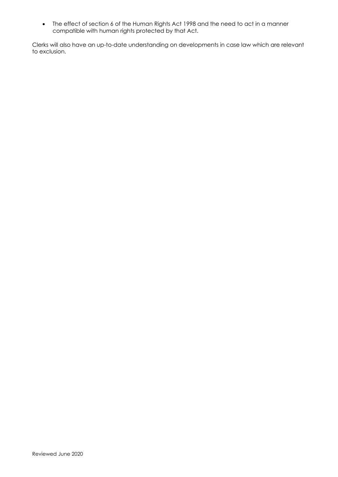The effect of section 6 of the Human Rights Act 1998 and the need to act in a manner compatible with human rights protected by that Act.

Clerks will also have an up-to-date understanding on developments in case law which are relevant to exclusion.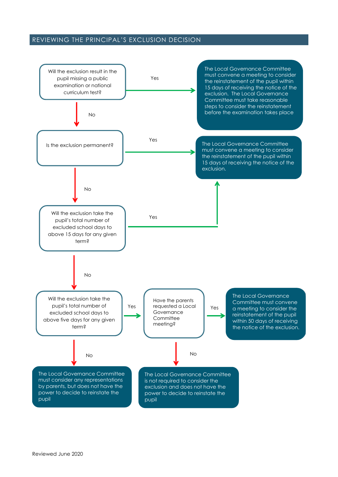# REVIEWING THE PRINCIPAL'S EXCLUSION DECISION

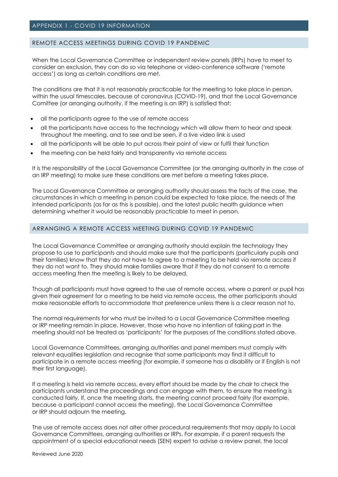# <span id="page-16-0"></span>REMOTE ACCESS MEETINGS DURING COVID 19 PANDEMIC

When the Local Governance Committee or independent review panels (IRPs) have to meet to consider an exclusion, they can do so via telephone or video-conference software ('remote access') as long as certain conditions are met.

The conditions are that it is not reasonably practicable for the meeting to take place in person, within the usual timescales, because of coronavirus (COVID-19), and that the Local Governance Comittee (or arranging authority, if the meeting is an IRP) is satisfied that:

- all the participants agree to the use of remote access
- all the participants have access to the technology which will allow them to hear and speak throughout the meeting, and to see and be seen, if a live video link is used
- all the participants will be able to put across their point of view or fulfil their function
- the meeting can be held fairly and transparently via remote access

It is the responsibility of the Local Governance Committee (or the arranging authority in the case of an IRP meeting) to make sure these conditions are met before a meeting takes place.

The Local Governance Committee or arranging authority should assess the facts of the case, the circumstances in which a meeting in person could be expected to take place, the needs of the intended participants (as far as this is possible), and the latest public health guidance when determining whether it would be reasonably practicable to meet in person.

# ARRANGING A REMOTE ACCESS MEETING DURING COVID 19 PANDEMIC

The Local Governance Committee or arranging authority should explain the technology they propose to use to participants and should make sure that the participants (particularly pupils and their families) know that they do not have to agree to a meeting to be held via remote access if they do not want to. They should make families aware that if they do not consent to a remote access meeting then the meeting is likely to be delayed.

Though all participants must have agreed to the use of remote access, where a parent or pupil has given their agreement for a meeting to be held via remote access, the other participants should make reasonable efforts to accommodate that preference unless there is a clear reason not to.

The normal requirements for who must be invited to a Local Governance Committee meeting or IRP meeting remain in place. However, those who have no intention of taking part in the meeting should not be treated as 'participants' for the purposes of the conditions stated above.

Local Governance Committees, arranging authorities and panel members must comply with relevant equalities legislation and recognise that some participants may find it difficult to participate in a remote access meeting (for example, if someone has a disability or if English is not their first language).

If a meeting is held via remote access, every effort should be made by the chair to check the participants understand the proceedings and can engage with them, to ensure the meeting is conducted fairly. If, once the meeting starts, the meeting cannot proceed fairly (for example, because a participant cannot access the meeting), the Local Governance Committee or IRP should adjourn the meeting.

The use of remote access does not alter other procedural requirements that may apply to Local Governance Committees, arranging authorities or IRPs. For example, if a parent requests the appointment of a special educational needs (SEN) expert to advise a review panel, the local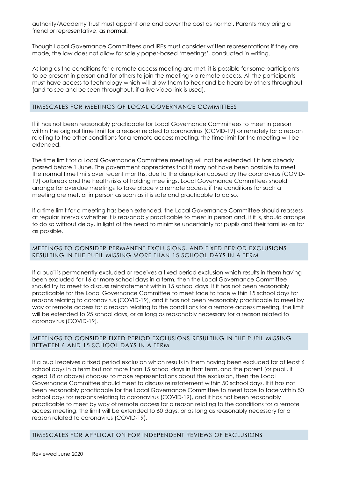authority/Academy Trust must appoint one and cover the cost as normal. Parents may bring a friend or representative, as normal.

Though Local Governance Committees and IRPs must consider written representations if they are made, the law does not allow for solely paper-based 'meetings', conducted in writing.

As long as the conditions for a remote access meeting are met, it is possible for some participants to be present in person and for others to join the meeting via remote access. All the participants must have access to technology which will allow them to hear and be heard by others throughout (and to see and be seen throughout, if a live video link is used).

#### TIMESCALES FOR MEETINGS OF LOCAL GOVERNANCE COMMITTEES

If it has not been reasonably practicable for Local Governance Committees to meet in person within the original time limit for a reason related to coronavirus (COVID-19) or remotely for a reason relating to the other conditions for a remote access meeting, the time limit for the meeting will be extended.

The time limit for a Local Governance Committee meeting will not be extended if it has already passed before 1 June. The government appreciates that it may not have been possible to meet the normal time limits over recent months, due to the disruption caused by the coronavirus (COVID-19) outbreak and the health risks of holding meetings. Local Governance Committees should arrange for overdue meetings to take place via remote access, if the conditions for such a meeting are met, or in person as soon as it is safe and practicable to do so.

If a time limit for a meeting has been extended, the Local Governance Committee should reassess at regular intervals whether it is reasonably practicable to meet in person and, if it is, should arrange to do so without delay, in light of the need to minimise uncertainty for pupils and their families as far as possible.

#### MEETINGS TO CONSIDER PERMANENT EXCLUSIONS, AND FIXED PERIOD EXCLUSIONS RESULTING IN THE PUPIL MISSING MORE THAN 15 SCHOOL DAYS IN A TERM

If a pupil is permanently excluded or receives a fixed period exclusion which results in them having been excluded for 16 or more school days in a term, then the Local Governance Committee should try to meet to discuss reinstatement within 15 school days. If it has not been reasonably practicable for the Local Governance Committee to meet face to face within 15 school days for reasons relating to coronavirus (COVID-19), and it has not been reasonably practicable to meet by way of remote access for a reason relating to the conditions for a remote access meeting, the limit will be extended to 25 school days, or as long as reasonably necessary for a reason related to coronavirus (COVID-19).

#### MEETINGS TO CONSIDER FIXED PERIOD EXCLUSIONS RESULTING IN THE PUPIL MISSING BETWEEN 6 AND 15 SCHOOL DAYS IN A TERM

If a pupil receives a fixed period exclusion which results in them having been excluded for at least 6 school days in a term but not more than 15 school days in that term, and the parent (or pupil, if aged 18 or above) chooses to make representations about the exclusion, then the Local Governance Committee should meet to discuss reinstatement within 50 school days. If it has not been reasonably practicable for the Local Governance Committee to meet face to face within 50 school days for reasons relating to coronavirus (COVID-19), and it has not been reasonably practicable to meet by way of remote access for a reason relating to the conditions for a remote access meeting, the limit will be extended to 60 days, or as long as reasonably necessary for a reason related to coronavirus (COVID-19).

#### TIMESCALES FOR APPLICATION FOR INDEPENDENT REVIEWS OF EXCLUSIONS